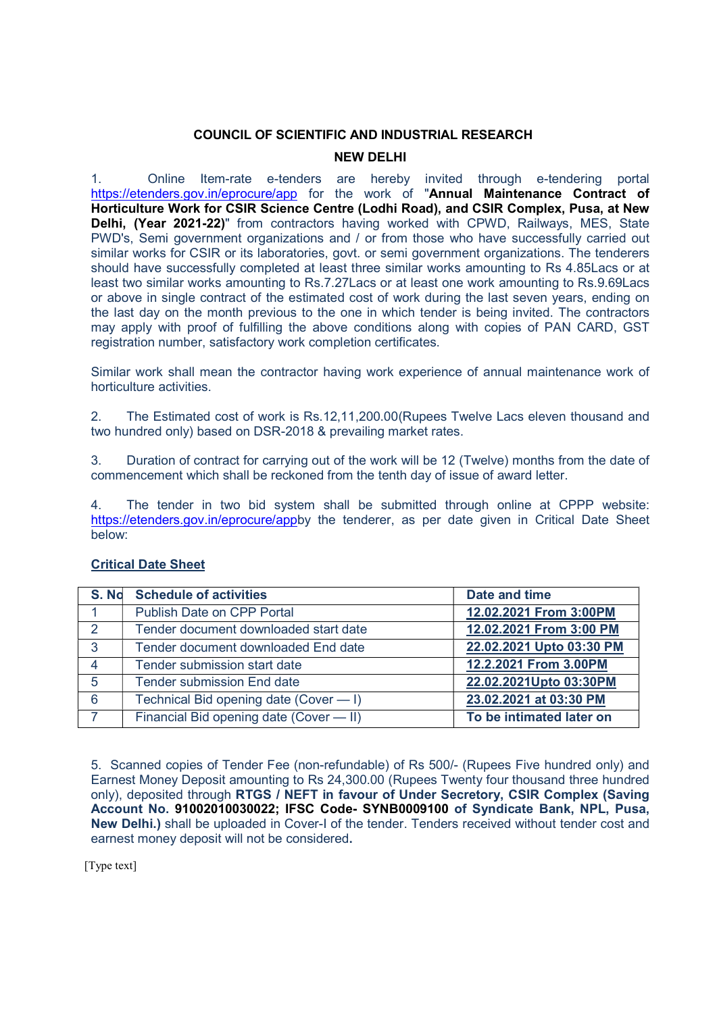## COUNCIL OF SCIENTIFIC AND INDUSTRIAL RESEARCH

## NEW DELHI

1. Online Item-rate e-tenders are hereby invited through e-tendering portal https://etenders.gov.in/eprocure/app for the work of "Annual Maintenance Contract of Horticulture Work for CSIR Science Centre (Lodhi Road), and CSIR Complex, Pusa, at New Delhi, (Year 2021-22)" from contractors having worked with CPWD, Railways, MES, State PWD's, Semi government organizations and / or from those who have successfully carried out similar works for CSIR or its laboratories, govt. or semi government organizations. The tenderers should have successfully completed at least three similar works amounting to Rs 4.85Lacs or at least two similar works amounting to Rs.7.27Lacs or at least one work amounting to Rs.9.69Lacs or above in single contract of the estimated cost of work during the last seven years, ending on the last day on the month previous to the one in which tender is being invited. The contractors may apply with proof of fulfilling the above conditions along with copies of PAN CARD, GST registration number, satisfactory work completion certificates.

Similar work shall mean the contractor having work experience of annual maintenance work of horticulture activities.

2. The Estimated cost of work is Rs.12,11,200.00(Rupees Twelve Lacs eleven thousand and two hundred only) based on DSR-2018 & prevailing market rates.

3. Duration of contract for carrying out of the work will be 12 (Twelve) months from the date of commencement which shall be reckoned from the tenth day of issue of award letter.

4. The tender in two bid system shall be submitted through online at CPPP website: https://etenders.gov.in/eprocure/appby the tenderer, as per date given in Critical Date Sheet below:

| S. No           | <b>Schedule of activities</b>           | Date and time            |
|-----------------|-----------------------------------------|--------------------------|
|                 | <b>Publish Date on CPP Portal</b>       | 12.02.2021 From 3:00PM   |
| $\mathcal{P}$   | Tender document downloaded start date   | 12.02.2021 From 3:00 PM  |
| $\mathbf{3}$    | Tender document downloaded End date     | 22.02.2021 Upto 03:30 PM |
| $\overline{4}$  | Tender submission start date            | 12.2.2021 From 3.00PM    |
| $5\overline{)}$ | <b>Tender submission End date</b>       | 22.02.2021Upto 03:30PM   |
| 6               | Technical Bid opening date (Cover - I)  | 23.02.2021 at 03:30 PM   |
|                 | Financial Bid opening date (Cover - II) | To be intimated later on |

## Critical Date Sheet

5. Scanned copies of Tender Fee (non-refundable) of Rs 500/- (Rupees Five hundred only) and Earnest Money Deposit amounting to Rs 24,300.00 (Rupees Twenty four thousand three hundred only), deposited through RTGS / NEFT in favour of Under Secretory, CSIR Complex (Saving Account No. 91002010030022; IFSC Code- SYNB0009100 of Syndicate Bank, NPL, Pusa, New Delhi.) shall be uploaded in Cover-I of the tender. Tenders received without tender cost and earnest money deposit will not be considered.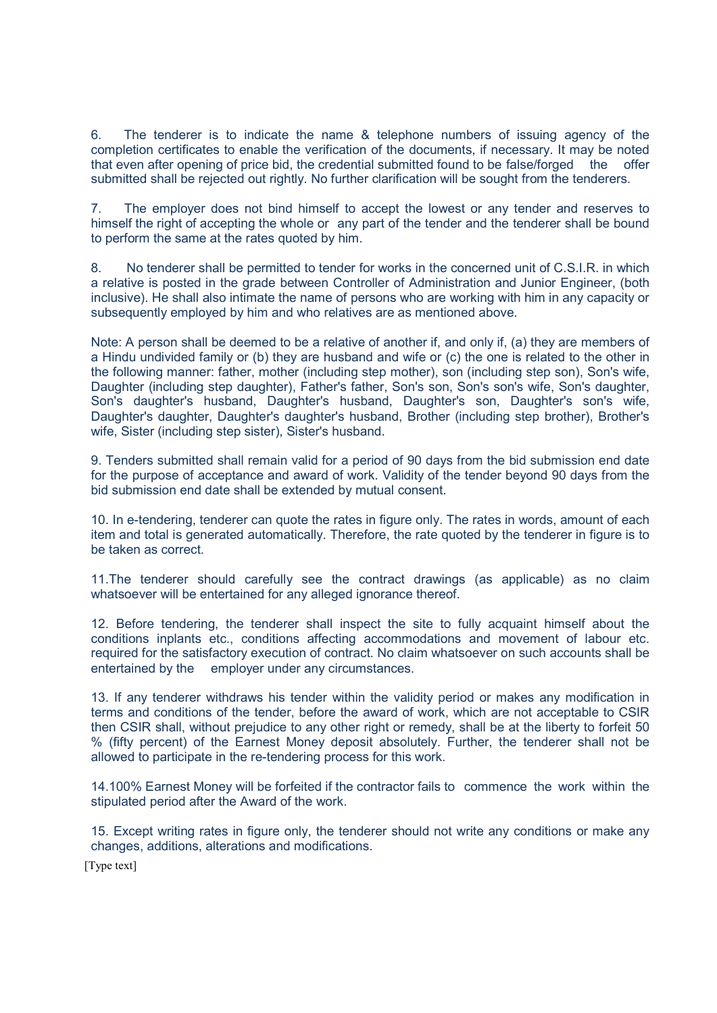6. The tenderer is to indicate the name & telephone numbers of issuing agency of the completion certificates to enable the verification of the documents, if necessary. It may be noted that even after opening of price bid, the credential submitted found to be false/forged the offer submitted shall be rejected out rightly. No further clarification will be sought from the tenderers.

7. The employer does not bind himself to accept the lowest or any tender and reserves to himself the right of accepting the whole or any part of the tender and the tenderer shall be bound to perform the same at the rates quoted by him.

8. No tenderer shall be permitted to tender for works in the concerned unit of C.S.I.R. in which a relative is posted in the grade between Controller of Administration and Junior Engineer, (both inclusive). He shall also intimate the name of persons who are working with him in any capacity or subsequently employed by him and who relatives are as mentioned above.

Note: A person shall be deemed to be a relative of another if, and only if, (a) they are members of a Hindu undivided family or (b) they are husband and wife or (c) the one is related to the other in the following manner: father, mother (including step mother), son (including step son), Son's wife, Daughter (including step daughter), Father's father, Son's son, Son's son's wife, Son's daughter, Son's daughter's husband, Daughter's husband, Daughter's son, Daughter's son's wife, Daughter's daughter, Daughter's daughter's husband, Brother (including step brother), Brother's wife, Sister (including step sister), Sister's husband.

9. Tenders submitted shall remain valid for a period of 90 days from the bid submission end date for the purpose of acceptance and award of work. Validity of the tender beyond 90 days from the bid submission end date shall be extended by mutual consent.

10. In e-tendering, tenderer can quote the rates in figure only. The rates in words, amount of each item and total is generated automatically. Therefore, the rate quoted by the tenderer in figure is to be taken as correct.

11.The tenderer should carefully see the contract drawings (as applicable) as no claim whatsoever will be entertained for any alleged ignorance thereof.

12. Before tendering, the tenderer shall inspect the site to fully acquaint himself about the conditions inplants etc., conditions affecting accommodations and movement of labour etc. required for the satisfactory execution of contract. No claim whatsoever on such accounts shall be entertained by the employer under any circumstances.

13. If any tenderer withdraws his tender within the validity period or makes any modification in terms and conditions of the tender, before the award of work, which are not acceptable to CSIR then CSIR shall, without prejudice to any other right or remedy, shall be at the liberty to forfeit 50 % (fifty percent) of the Earnest Money deposit absolutely. Further, the tenderer shall not be allowed to participate in the re-tendering process for this work.

14.100% Earnest Money will be forfeited if the contractor fails to commence the work within the stipulated period after the Award of the work.

15. Except writing rates in figure only, the tenderer should not write any conditions or make any changes, additions, alterations and modifications.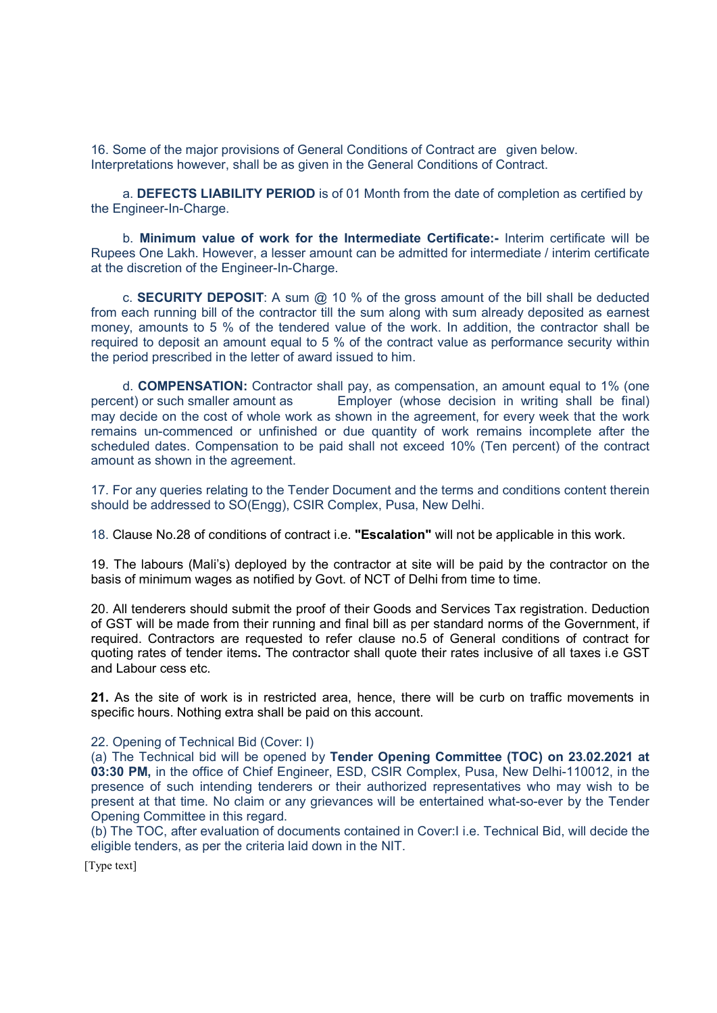16. Some of the major provisions of General Conditions of Contract are given below. Interpretations however, shall be as given in the General Conditions of Contract.

a. DEFECTS LIABILITY PERIOD is of 01 Month from the date of completion as certified by the Engineer-In-Charge.

b. Minimum value of work for the Intermediate Certificate:- Interim certificate will be Rupees One Lakh. However, a lesser amount can be admitted for intermediate / interim certificate at the discretion of the Engineer-In-Charge.

c. SECURITY DEPOSIT: A sum  $@$  10 % of the gross amount of the bill shall be deducted from each running bill of the contractor till the sum along with sum already deposited as earnest money, amounts to 5 % of the tendered value of the work. In addition, the contractor shall be required to deposit an amount equal to 5 % of the contract value as performance security within the period prescribed in the letter of award issued to him.

d. COMPENSATION: Contractor shall pay, as compensation, an amount equal to 1% (one percent) or such smaller amount as Employer (whose decision in writing shall be final) may decide on the cost of whole work as shown in the agreement, for every week that the work remains un-commenced or unfinished or due quantity of work remains incomplete after the scheduled dates. Compensation to be paid shall not exceed 10% (Ten percent) of the contract amount as shown in the agreement.

17. For any queries relating to the Tender Document and the terms and conditions content therein should be addressed to SO(Engg), CSIR Complex, Pusa, New Delhi.

18. Clause No.28 of conditions of contract i.e. "Escalation" will not be applicable in this work.

19. The labours (Mali's) deployed by the contractor at site will be paid by the contractor on the basis of minimum wages as notified by Govt. of NCT of Delhi from time to time.

20. All tenderers should submit the proof of their Goods and Services Tax registration. Deduction of GST will be made from their running and final bill as per standard norms of the Government, if required. Contractors are requested to refer clause no.5 of General conditions of contract for quoting rates of tender items. The contractor shall quote their rates inclusive of all taxes i.e GST and Labour cess etc.

21. As the site of work is in restricted area, hence, there will be curb on traffic movements in specific hours. Nothing extra shall be paid on this account.

## 22. Opening of Technical Bid (Cover: I)

(a) The Technical bid will be opened by Tender Opening Committee (TOC) on 23.02.2021 at 03:30 PM, in the office of Chief Engineer, ESD, CSIR Complex, Pusa, New Delhi-110012, in the presence of such intending tenderers or their authorized representatives who may wish to be present at that time. No claim or any grievances will be entertained what-so-ever by the Tender Opening Committee in this regard.

(b) The TOC, after evaluation of documents contained in Cover:I i.e. Technical Bid, will decide the eligible tenders, as per the criteria laid down in the NIT.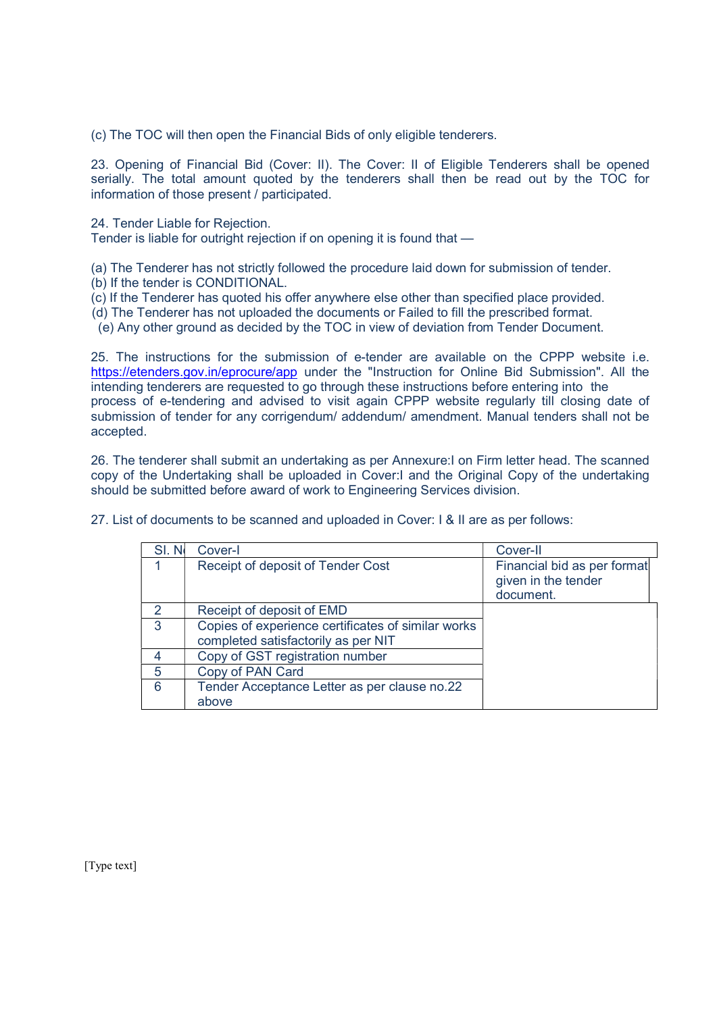(c) The TOC will then open the Financial Bids of only eligible tenderers.

23. Opening of Financial Bid (Cover: II). The Cover: II of Eligible Tenderers shall be opened serially. The total amount quoted by the tenderers shall then be read out by the TOC for information of those present / participated.

24. Tender Liable for Rejection.

Tender is liable for outright rejection if on opening it is found that —

(a) The Tenderer has not strictly followed the procedure laid down for submission of tender.

- (b) If the tender is CONDITIONAL.
- (c) If the Tenderer has quoted his offer anywhere else other than specified place provided.
- (d) The Tenderer has not uploaded the documents or Failed to fill the prescribed format.
- (e) Any other ground as decided by the TOC in view of deviation from Tender Document.

25. The instructions for the submission of e-tender are available on the CPPP website i.e. https://etenders.gov.in/eprocure/app under the "Instruction for Online Bid Submission". All the intending tenderers are requested to go through these instructions before entering into the process of e-tendering and advised to visit again CPPP website regularly till closing date of submission of tender for any corrigendum/ addendum/ amendment. Manual tenders shall not be accepted.

26. The tenderer shall submit an undertaking as per Annexure:I on Firm letter head. The scanned copy of the Undertaking shall be uploaded in Cover:I and the Original Copy of the undertaking should be submitted before award of work to Engineering Services division.

27. List of documents to be scanned and uploaded in Cover: I & II are as per follows:

| SI. No        | Cover-I                                            | Cover-II                                                        |
|---------------|----------------------------------------------------|-----------------------------------------------------------------|
|               | Receipt of deposit of Tender Cost                  | Financial bid as per format<br>given in the tender<br>document. |
| $\mathcal{P}$ | Receipt of deposit of EMD                          |                                                                 |
| 3             | Copies of experience certificates of similar works |                                                                 |
|               | completed satisfactorily as per NIT                |                                                                 |
| 4             | Copy of GST registration number                    |                                                                 |
| 5             | Copy of PAN Card                                   |                                                                 |
| 6             | Tender Acceptance Letter as per clause no.22       |                                                                 |
|               | above                                              |                                                                 |